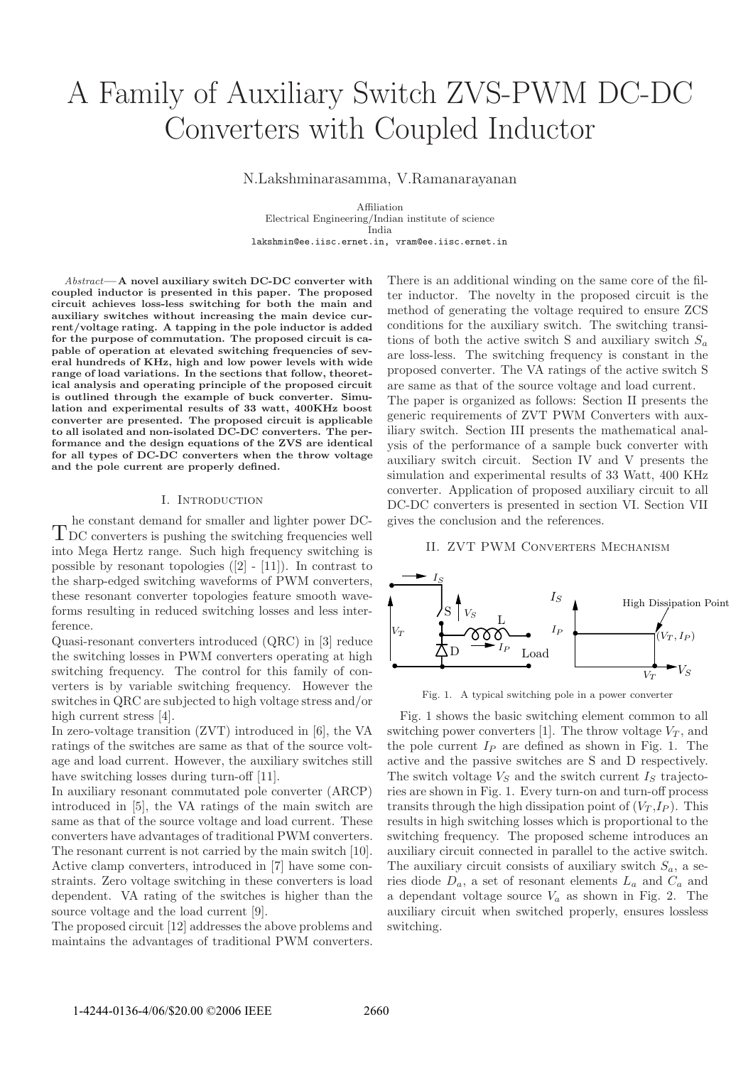# A Family of Auxiliary Switch ZVS-PWM DC-DC Converters with Coupled Inductor

N.Lakshminarasamma, V.Ramanarayanan

Affiliation Electrical Engineering/Indian institute of science India lakshmin@ee.iisc.ernet.in, vram@ee.iisc.ernet.in

Abstract—A novel auxiliary switch DC-DC converter with coupled inductor is presented in this paper. The proposed circuit achieves loss-less switching for both the main and auxiliary switches without increasing the main device current/voltage rating. A tapping in the pole inductor is added for the purpose of commutation. The proposed circuit is capable of operation at elevated switching frequencies of several hundreds of KHz, high and low power levels with wide range of load variations. In the sections that follow, theoretical analysis and operating principle of the proposed circuit is outlined through the example of buck converter. Simulation and experimental results of 33 watt, 400KHz boost converter are presented. The proposed circuit is applicable to all isolated and non-isolated DC-DC converters. The performance and the design equations of the ZVS are identical for all types of DC-DC converters when the throw voltage and the pole current are properly defined.

### I. INTRODUCTION

TDC converters is pushing the switching frequencies well he constant demand for smaller and lighter power DCinto Mega Hertz range. Such high frequency switching is possible by resonant topologies ([2] - [11]). In contrast to the sharp-edged switching waveforms of PWM converters, these resonant converter topologies feature smooth waveforms resulting in reduced switching losses and less interference.

Quasi-resonant converters introduced (QRC) in [3] reduce the switching losses in PWM converters operating at high switching frequency. The control for this family of converters is by variable switching frequency. However the switches in QRC are subjected to high voltage stress and/or high current stress [4].

In zero-voltage transition (ZVT) introduced in [6], the VA ratings of the switches are same as that of the source voltage and load current. However, the auxiliary switches still have switching losses during turn-off [11].

In auxiliary resonant commutated pole converter (ARCP) introduced in [5], the VA ratings of the main switch are same as that of the source voltage and load current. These converters have advantages of traditional PWM converters. The resonant current is not carried by the main switch [10]. Active clamp converters, introduced in [7] have some constraints. Zero voltage switching in these converters is load dependent. VA rating of the switches is higher than the source voltage and the load current [9].

The proposed circuit [12] addresses the above problems and maintains the advantages of traditional PWM converters. There is an additional winding on the same core of the filter inductor. The novelty in the proposed circuit is the method of generating the voltage required to ensure ZCS conditions for the auxiliary switch. The switching transitions of both the active switch S and auxiliary switch  $S_a$ are loss-less. The switching frequency is constant in the proposed converter. The VA ratings of the active switch S are same as that of the source voltage and load current. The paper is organized as follows: Section II presents the generic requirements of ZVT PWM Converters with auxiliary switch. Section III presents the mathematical analysis of the performance of a sample buck converter with auxiliary switch circuit. Section IV and V presents the simulation and experimental results of 33 Watt, 400 KHz converter. Application of proposed auxiliary circuit to all

# II. ZVT PWM Converters Mechanism

DC-DC converters is presented in section VI. Section VII

gives the conclusion and the references.



Fig. 1. A typical switching pole in a power converter

Fig. 1 shows the basic switching element common to all switching power converters [1]. The throw voltage  $V_T$ , and the pole current  $I_P$  are defined as shown in Fig. 1. The active and the passive switches are S and D respectively. The switch voltage  $V<sub>S</sub>$  and the switch current  $I<sub>S</sub>$  trajectories are shown in Fig. 1. Every turn-on and turn-off process transits through the high dissipation point of  $(V_T, I_P)$ . This results in high switching losses which is proportional to the switching frequency. The proposed scheme introduces an auxiliary circuit connected in parallel to the active switch. The auxiliary circuit consists of auxiliary switch  $S_a$ , a series diode  $D_a$ , a set of resonant elements  $L_a$  and  $C_a$  and a dependant voltage source  $V_a$  as shown in Fig. 2. The auxiliary circuit when switched properly, ensures lossless switching.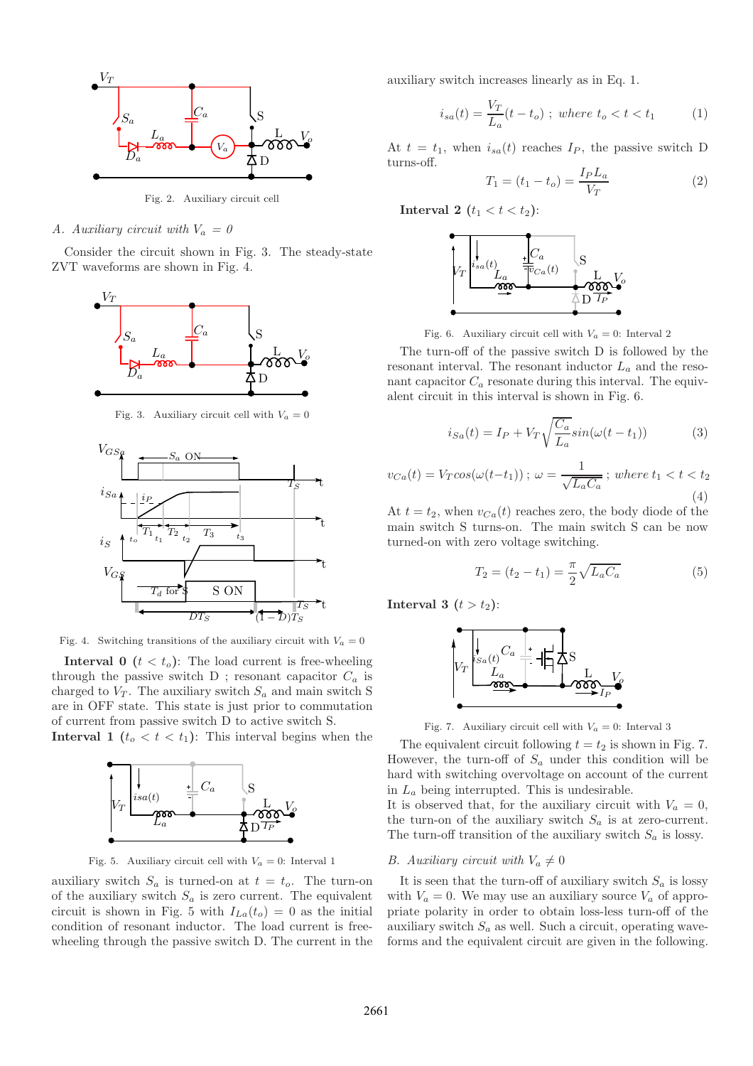

Fig. 2. Auxiliary circuit cell

A. Auxiliary circuit with  $V_a = 0$ 

Consider the circuit shown in Fig. 3. The steady-state ZVT waveforms are shown in Fig. 4.



Fig. 3. Auxiliary circuit cell with  $V_a = 0$ 



Fig. 4. Switching transitions of the auxiliary circuit with  $V_a = 0$ 

**Interval 0**  $(t < t_o)$ : The load current is free-wheeling through the passive switch D ; resonant capacitor  $C_a$  is charged to  $V_T$ . The auxiliary switch  $S_a$  and main switch S are in OFF state. This state is just prior to commutation of current from passive switch D to active switch S.

**Interval 1**  $(t_o < t < t_1)$ : This interval begins when the



Fig. 5. Auxiliary circuit cell with  $V_a = 0$ : Interval 1

auxiliary switch  $S_a$  is turned-on at  $t = t_o$ . The turn-on of the auxiliary switch  $S_a$  is zero current. The equivalent circuit is shown in Fig. 5 with  $I_{La}(t_o) = 0$  as the initial condition of resonant inductor. The load current is freewheeling through the passive switch D. The current in the

auxiliary switch increases linearly as in Eq. 1.

$$
i_{sa}(t) = \frac{V_T}{L_a}(t - t_o) \; ; \; where \; t_o < t < t_1 \tag{1}
$$

At  $t = t_1$ , when  $i_{sa}(t)$  reaches  $I_P$ , the passive switch D turns-off.

$$
T_1 = (t_1 - t_o) = \frac{I_P L_a}{V_T} \tag{2}
$$

Interval 2  $(t_1 < t < t_2)$ :



Fig. 6. Auxiliary circuit cell with  $V_a = 0$ : Interval 2

The turn-off of the passive switch D is followed by the resonant interval. The resonant inductor  $L_a$  and the resonant capacitor  $C_a$  resonate during this interval. The equivalent circuit in this interval is shown in Fig. 6.

$$
i_{Sa}(t) = I_P + V_T \sqrt{\frac{C_a}{L_a}} sin(\omega(t - t_1))
$$
\n(3)

$$
v_{Ca}(t) = V_T \cos(\omega(t - t_1)); \ \omega = \frac{1}{\sqrt{L_a C_a}}; \ where \ t_1 < t < t_2
$$
\n
$$
\tag{4}
$$

At  $t = t_2$ , when  $v_{Ca}(t)$  reaches zero, the body diode of the main switch S turns-on. The main switch S can be now turned-on with zero voltage switching.

$$
T_2 = (t_2 - t_1) = \frac{\pi}{2} \sqrt{L_a C_a}
$$
 (5)

Interval 3  $(t > t_2)$ :



Fig. 7. Auxiliary circuit cell with  $V_a = 0$ : Interval 3

The equivalent circuit following  $t = t_2$  is shown in Fig. 7. However, the turn-off of  $S_a$  under this condition will be hard with switching overvoltage on account of the current in  $L_a$  being interrupted. This is undesirable.

It is observed that, for the auxiliary circuit with  $V_a = 0$ , the turn-on of the auxiliary switch  $S_a$  is at zero-current. The turn-off transition of the auxiliary switch  $S_a$  is lossy.

# B. Auxiliary circuit with  $V_a \neq 0$

It is seen that the turn-off of auxiliary switch  $S_a$  is lossy with  $V_a = 0$ . We may use an auxiliary source  $V_a$  of appropriate polarity in order to obtain loss-less turn-off of the auxiliary switch  $S_a$  as well. Such a circuit, operating waveforms and the equivalent circuit are given in the following.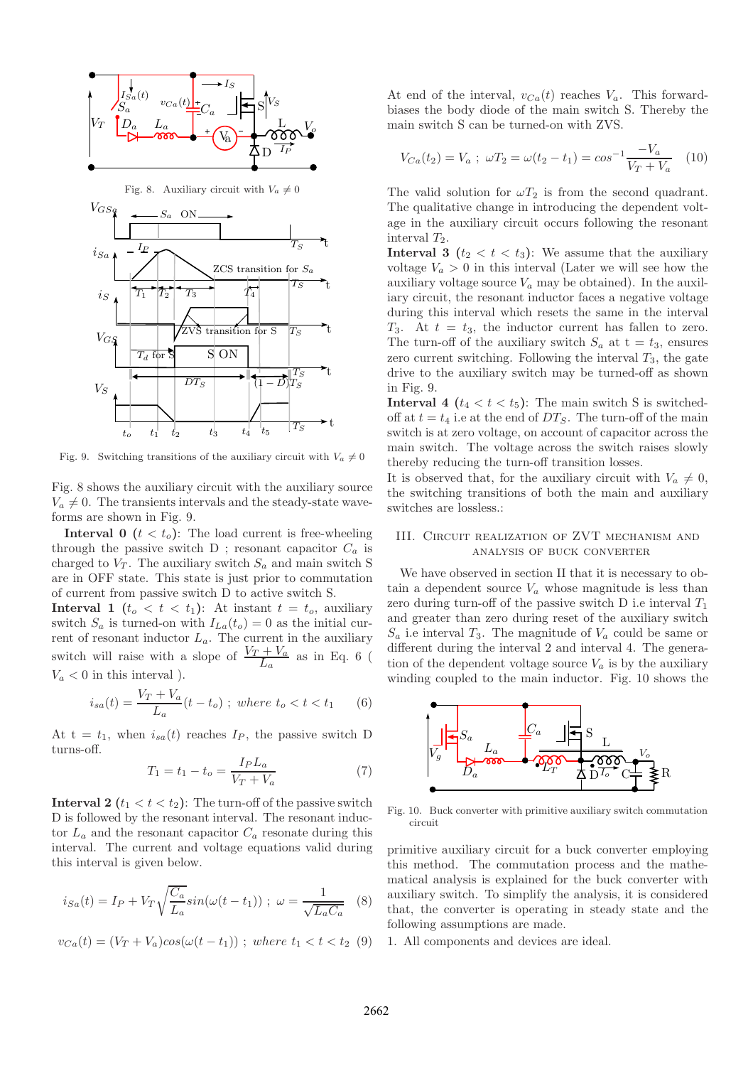

Fig. 9. Switching transitions of the auxiliary circuit with  $V_a \neq 0$ 

Fig. 8 shows the auxiliary circuit with the auxiliary source  $V_a \neq 0$ . The transients intervals and the steady-state waveforms are shown in Fig. 9.

**Interval 0**  $(t < t_0)$ : The load current is free-wheeling through the passive switch D ; resonant capacitor  $C_a$  is charged to  $V_T$ . The auxiliary switch  $S_a$  and main switch S are in OFF state. This state is just prior to commutation of current from passive switch D to active switch S.

**Interval 1**  $(t_o < t < t_1)$ : At instant  $t = t_o$ , auxiliary switch  $S_a$  is turned-on with  $I_{La}(t_o) = 0$  as the initial current of resonant inductor  $L_a$ . The current in the auxiliary switch will raise with a slope of  $\frac{V_T + V_a}{L_a}$  as in Eq. 6 (  $V_a < 0$  in this interval).

$$
i_{sa}(t) = \frac{V_T + V_a}{L_a}(t - t_o) \; ; \; where \; t_o < t < t_1 \tag{6}
$$

At  $t = t_1$ , when  $i_{sa}(t)$  reaches  $I_P$ , the passive switch D turns-off.

$$
T_1 = t_1 - t_o = \frac{I_P L_a}{V_T + V_a} \tag{7}
$$

**Interval 2**  $(t_1 < t < t_2)$ : The turn-off of the passive switch D is followed by the resonant interval. The resonant inductor  $L_a$  and the resonant capacitor  $C_a$  resonate during this interval. The current and voltage equations valid during this interval is given below.

$$
i_{Sa}(t) = I_P + V_T \sqrt{\frac{C_a}{L_a}} sin(\omega(t - t_1)) \; ; \; \omega = \frac{1}{\sqrt{L_a C_a}} \quad (8)
$$

$$
v_{Ca}(t) = (V_T + V_a) \cos(\omega(t - t_1)) \; ; \; where \; t_1 < t < t_2 \eqno(9)
$$

At end of the interval,  $v_{Ca}(t)$  reaches  $V_a$ . This forwardbiases the body diode of the main switch S. Thereby the main switch S can be turned-on with ZVS.

$$
V_{Ca}(t_2) = V_a \; ; \; \omega T_2 = \omega(t_2 - t_1) = \cos^{-1} \frac{-V_a}{V_T + V_a} \quad (10)
$$

The valid solution for  $\omega T_2$  is from the second quadrant. The qualitative change in introducing the dependent voltage in the auxiliary circuit occurs following the resonant interval  $T_2$ .

**Interval 3**  $(t_2 < t < t_3)$ : We assume that the auxiliary voltage  $V_a > 0$  in this interval (Later we will see how the auxiliary voltage source  $V_a$  may be obtained). In the auxiliary circuit, the resonant inductor faces a negative voltage during this interval which resets the same in the interval  $T_3$ . At  $t = t_3$ , the inductor current has fallen to zero. The turn-off of the auxiliary switch  $S_a$  at  $t = t_3$ , ensures zero current switching. Following the interval  $T_3$ , the gate drive to the auxiliary switch may be turned-off as shown in Fig. 9.

**Interval 4**  $(t_4 < t < t_5)$ : The main switch S is switchedoff at  $t = t_4$  i.e at the end of  $DT_S$ . The turn-off of the main switch is at zero voltage, on account of capacitor across the main switch. The voltage across the switch raises slowly thereby reducing the turn-off transition losses.

It is observed that, for the auxiliary circuit with  $V_a \neq 0$ , the switching transitions of both the main and auxiliary switches are lossless.:

# III. Circuit realization of ZVT mechanism and analysis of buck converter

We have observed in section II that it is necessary to obtain a dependent source  $V_a$  whose magnitude is less than zero during turn-off of the passive switch  $D$  i.e interval  $T_1$ and greater than zero during reset of the auxiliary switch  $S_a$  i.e interval  $T_3$ . The magnitude of  $V_a$  could be same or different during the interval 2 and interval 4. The generation of the dependent voltage source  $V_a$  is by the auxiliary winding coupled to the main inductor. Fig. 10 shows the



Fig. 10. Buck converter with primitive auxiliary switch commutation circuit

primitive auxiliary circuit for a buck converter employing this method. The commutation process and the mathematical analysis is explained for the buck converter with auxiliary switch. To simplify the analysis, it is considered that, the converter is operating in steady state and the following assumptions are made.

1. All components and devices are ideal.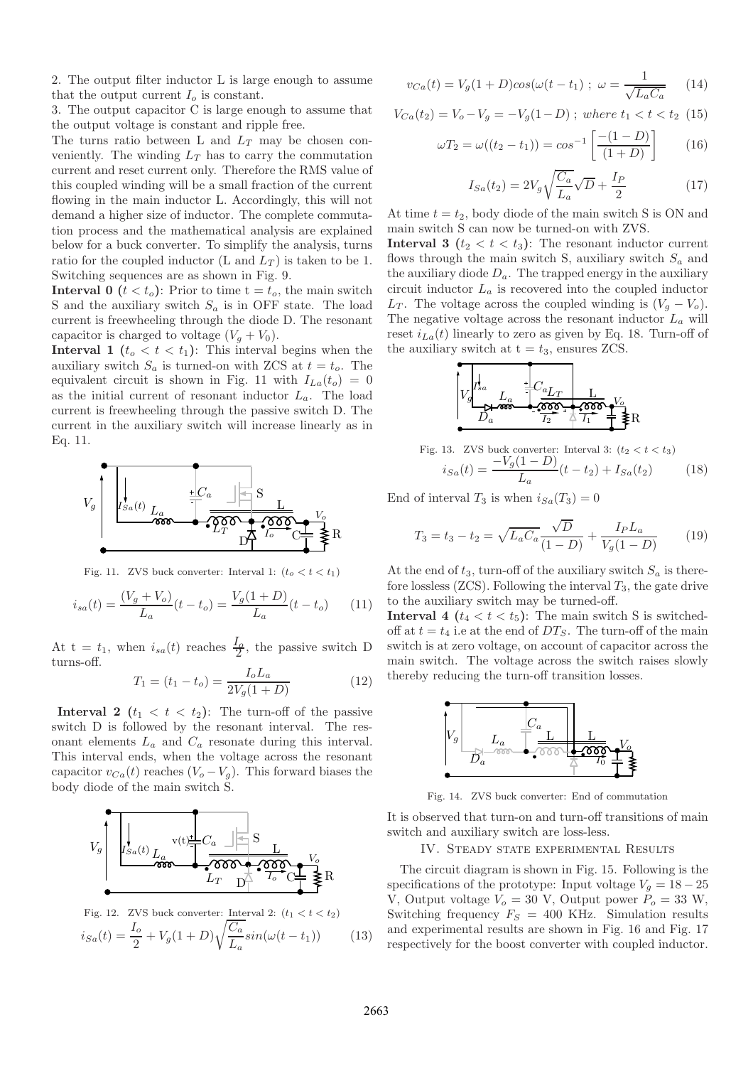2. The output filter inductor L is large enough to assume that the output current  $I<sub>o</sub>$  is constant.

3. The output capacitor C is large enough to assume that the output voltage is constant and ripple free.

The turns ratio between L and  $L_T$  may be chosen conveniently. The winding  $L_T$  has to carry the commutation current and reset current only. Therefore the RMS value of this coupled winding will be a small fraction of the current flowing in the main inductor L. Accordingly, this will not demand a higher size of inductor. The complete commutation process and the mathematical analysis are explained below for a buck converter. To simplify the analysis, turns ratio for the coupled inductor (L and  $L_T$ ) is taken to be 1. Switching sequences are as shown in Fig. 9.

**Interval 0**  $(t < t_o)$ : Prior to time  $t = t_o$ , the main switch S and the auxiliary switch  $S_a$  is in OFF state. The load current is freewheeling through the diode D. The resonant capacitor is charged to voltage  $(V_g + V_0)$ .

**Interval 1**  $(t_o < t < t_1)$ : This interval begins when the auxiliary switch  $S_a$  is turned-on with ZCS at  $t = t_o$ . The equivalent circuit is shown in Fig. 11 with  $I_{La}(t_o)=0$ as the initial current of resonant inductor  $L_a$ . The load current is freewheeling through the passive switch D. The current in the auxiliary switch will increase linearly as in Eq. 11.



Fig. 11. ZVS buck converter: Interval 1:  $(t_o < t < t_1)$ 

$$
i_{sa}(t) = \frac{(V_g + V_o)}{L_a}(t - t_o) = \frac{V_g(1 + D)}{L_a}(t - t_o)
$$
 (11)

At  $t = t_1$ , when  $i_{sa}(t)$  reaches  $\frac{I_o}{2}$ , the passive switch D turns-off.

$$
T_1 = (t_1 - t_o) = \frac{I_o L_a}{2V_g(1+D)}
$$
(12)

Interval 2  $(t_1 < t < t_2)$ : The turn-off of the passive switch D is followed by the resonant interval. The resonant elements  $L_a$  and  $C_a$  resonate during this interval. This interval ends, when the voltage across the resonant capacitor  $v_{Ca}(t)$  reaches  $(V_o - V_g)$ . This forward biases the body diode of the main switch S.



$$
v_{Ca}(t) = V_g(1+D)\cos(\omega(t-t_1)) ; \ \omega = \frac{1}{\sqrt{L_a C_a}} \tag{14}
$$

$$
V_{Ca}(t_2) = V_o - V_g = -V_g(1 - D) ; where t_1 < t < t_2
$$
 (15)

$$
\omega T_2 = \omega((t_2 - t_1)) = \cos^{-1}\left[\frac{-(1 - D)}{(1 + D)}\right] \tag{16}
$$

$$
I_{Sa}(t_2) = 2V_g \sqrt{\frac{C_a}{L_a}} \sqrt{D} + \frac{I_P}{2}
$$
 (17)

At time  $t = t_2$ , body diode of the main switch S is ON and main switch S can now be turned-on with ZVS.

**Interval 3**  $(t_2 < t < t_3)$ : The resonant inductor current flows through the main switch S, auxiliary switch  $S_a$  and the auxiliary diode  $D_a$ . The trapped energy in the auxiliary circuit inductor  $L_a$  is recovered into the coupled inductor  $L_T$ . The voltage across the coupled winding is  $(V_q - V_o)$ . The negative voltage across the resonant inductor  $L_a$  will reset  $i_{La}(t)$  linearly to zero as given by Eq. 18. Turn-off of the auxiliary switch at  $t = t_3$ , ensures ZCS.



Fig. 13. ZVS buck converter: Interval 3: 
$$
(t_2 < t < t_3)
$$
\n
$$
i_{Sa}(t) = \frac{-V_g(1-D)}{L_a}(t-t_2) + I_{Sa}(t_2) \tag{18}
$$

End of interval  $T_3$  is when  $i_{Sa}(T_3)=0$ 

$$
T_3 = t_3 - t_2 = \sqrt{L_a C_a} \frac{\sqrt{D}}{(1 - D)} + \frac{I_P L_a}{V_g (1 - D)}
$$
(19)

At the end of  $t_3$ , turn-off of the auxiliary switch  $S_a$  is therefore lossless (ZCS). Following the interval  $T_3$ , the gate drive to the auxiliary switch may be turned-off.

Interval 4  $(t_4 < t < t_5)$ : The main switch S is switchedoff at  $t = t_4$  i.e at the end of  $DT_S$ . The turn-off of the main switch is at zero voltage, on account of capacitor across the main switch. The voltage across the switch raises slowly thereby reducing the turn-off transition losses.



Fig. 14. ZVS buck converter: End of commutation

It is observed that turn-on and turn-off transitions of main switch and auxiliary switch are loss-less.

IV. STEADY STATE EXPERIMENTAL RESULTS

The circuit diagram is shown in Fig. 15. Following is the specifications of the prototype: Input voltage  $V_g = 18 - 25$ V, Output voltage  $V_o = 30$  V, Output power  $\tilde{P}_o = 33$  W, Switching frequency  $F_S = 400$  KHz. Simulation results and experimental results are shown in Fig. 16 and Fig. 17 respectively for the boost converter with coupled inductor.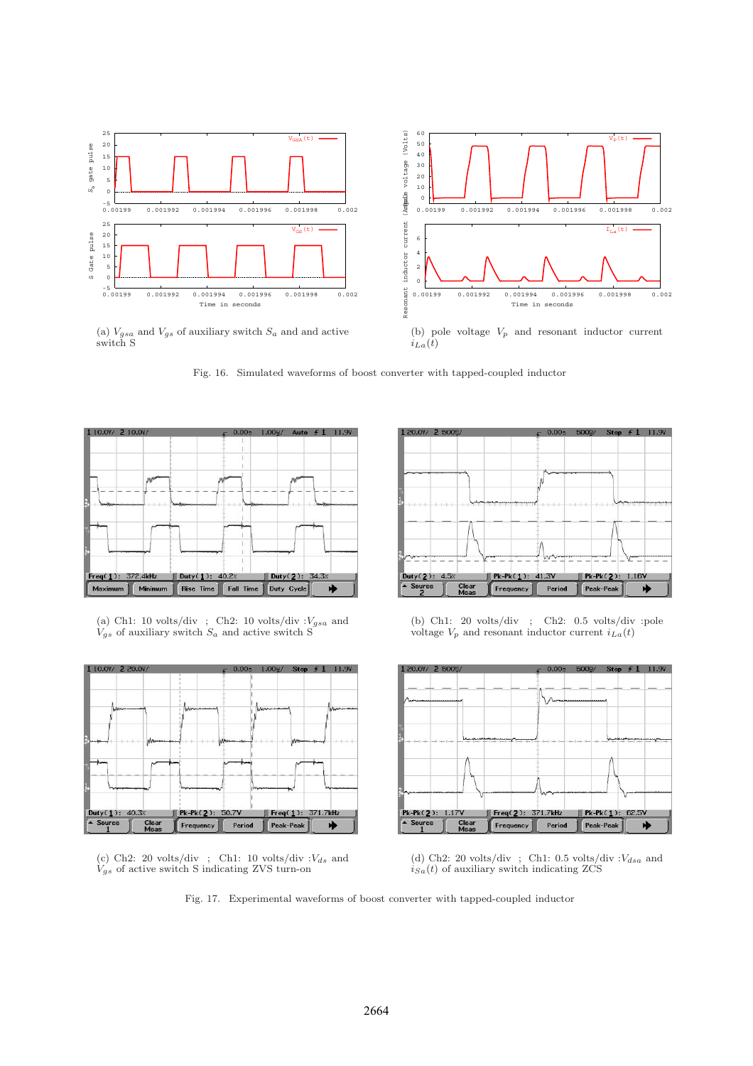

(a)  $V_{gsa}$  and  $V_{gs}$  of auxiliary switch  $S_a$  and and active switch S

(b) pole voltage  $V_p$  and resonant inductor current  $i_{La}(t)$ 

Fig. 16. Simulated waveforms of boost converter with tapped-coupled inductor



(a) Ch1: 10 volts/div ; Ch2: 10 volts/div :  $V_{gsa}$  and  $V_{gs}$  of auxiliary switch  $S_a$  and active switch S



(c) Ch2: 20 volts/div ; Ch1: 10 volts/div : $V_{ds}$  and  $V_{gs}$  of active switch S indicating ZVS turn-on



(b) Ch1: 20 volts/div ; Ch2: 0.5 volts/div :pole voltage  $V_p$  and resonant inductor current  $i_{La}(t)$ 



(d) Ch2: 20 volts/div ; Ch1: 0.5 volts/div : $V_{dsa}$  and  $i_{Sa}(t)$  of auxiliary switch indicating ZCS

Fig. 17. Experimental waveforms of boost converter with tapped-coupled inductor